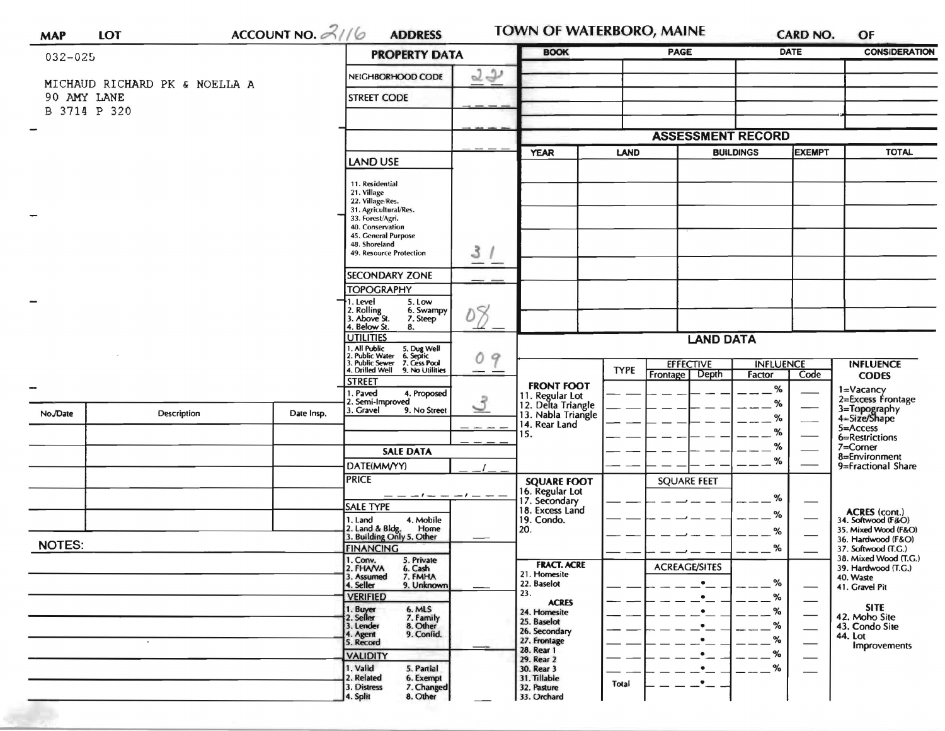| <b>MAP</b>    | <b>LOT</b>                                   |  | ACCOUNT NO. $21/6$ | <b>ADDRESS</b>                                                                                                                        |               | <b>TOWN OF WATERBORO, MAINE</b>       |                     |                      |                                                                                                                                                                                                                                                                                                                                                                                                                                                                                                                                                                                                                                                                                                                                                                                                                                    |  | OF                   |  |
|---------------|----------------------------------------------|--|--------------------|---------------------------------------------------------------------------------------------------------------------------------------|---------------|---------------------------------------|---------------------|----------------------|------------------------------------------------------------------------------------------------------------------------------------------------------------------------------------------------------------------------------------------------------------------------------------------------------------------------------------------------------------------------------------------------------------------------------------------------------------------------------------------------------------------------------------------------------------------------------------------------------------------------------------------------------------------------------------------------------------------------------------------------------------------------------------------------------------------------------------|--|----------------------|--|
| 032-025       |                                              |  |                    | <b>PROPERTY DATA</b>                                                                                                                  |               | <b>BOOK</b>                           |                     | <b>PAGE</b>          | <b>DATE</b>                                                                                                                                                                                                                                                                                                                                                                                                                                                                                                                                                                                                                                                                                                                                                                                                                        |  | <b>CONSIDERATION</b> |  |
|               |                                              |  |                    | 22<br>NEIGHBORHOOD CODE                                                                                                               |               |                                       |                     |                      |                                                                                                                                                                                                                                                                                                                                                                                                                                                                                                                                                                                                                                                                                                                                                                                                                                    |  |                      |  |
|               | MICHAUD RICHARD PK & NOELLA A<br>90 AMY LANE |  |                    | <b>STREET CODE</b>                                                                                                                    |               |                                       |                     |                      |                                                                                                                                                                                                                                                                                                                                                                                                                                                                                                                                                                                                                                                                                                                                                                                                                                    |  |                      |  |
|               | B 3714 P 320                                 |  |                    |                                                                                                                                       |               |                                       |                     |                      |                                                                                                                                                                                                                                                                                                                                                                                                                                                                                                                                                                                                                                                                                                                                                                                                                                    |  |                      |  |
|               |                                              |  |                    |                                                                                                                                       |               |                                       |                     |                      |                                                                                                                                                                                                                                                                                                                                                                                                                                                                                                                                                                                                                                                                                                                                                                                                                                    |  |                      |  |
|               |                                              |  |                    |                                                                                                                                       |               |                                       | <b>YEAR</b><br>LAND |                      |                                                                                                                                                                                                                                                                                                                                                                                                                                                                                                                                                                                                                                                                                                                                                                                                                                    |  |                      |  |
|               |                                              |  |                    | <b>LAND USE</b>                                                                                                                       |               |                                       |                     |                      |                                                                                                                                                                                                                                                                                                                                                                                                                                                                                                                                                                                                                                                                                                                                                                                                                                    |  |                      |  |
|               |                                              |  |                    | 11. Residential<br>21. Village                                                                                                        |               |                                       |                     |                      |                                                                                                                                                                                                                                                                                                                                                                                                                                                                                                                                                                                                                                                                                                                                                                                                                                    |  |                      |  |
|               |                                              |  |                    | 22. Village/Res.<br>31. Agricultural/Res.                                                                                             |               |                                       |                     |                      |                                                                                                                                                                                                                                                                                                                                                                                                                                                                                                                                                                                                                                                                                                                                                                                                                                    |  |                      |  |
|               |                                              |  |                    | 33. Forest/Agri.<br>40. Conservation                                                                                                  |               |                                       |                     |                      | <b>CARD NO.</b><br><b>ASSESSMENT RECORD</b><br><b>TOTAL</b><br><b>BUILDINGS</b><br><b>EXEMPT</b><br><b>LAND DATA</b><br><b>INFLUENCE</b><br><b>INFLUENCE</b><br>Depth<br>Code<br>Factor<br><b>CODES</b><br>$\%$<br>1=Vacancy<br>2=Excess Frontage<br>%<br>3=Topography<br>4=Size/Shape<br>%<br>5=Access<br>%<br>6=Restrictions<br>%<br>7=Corner<br>8=Environment<br>%<br>9=Fractional Share<br>%<br><b>ACRES</b> (cont.)<br>34. Softwood (F&O)<br>%<br>35. Mixed Wood (F&O)<br>%<br>36. Hardwood (F&O)<br>%<br>37. Softwood (T.C.)<br>38. Mixed Wood (T.G.)<br>39. Hardwood (T.G.)<br>40. Waste<br>%<br>$\bullet$<br>41. Gravel Pit<br>%<br>٠<br><b>SITE</b><br>%<br>٠<br>42. Moho Site<br>%<br>43. Condo Site<br>$\overbrace{\hspace{27mm}}$<br>44. Lot<br>%<br><b>Improvements</b><br>%<br>$\%$<br>$\overbrace{\phantom{aaaaa}}$ |  |                      |  |
|               |                                              |  |                    | 45. General Purpose<br>48. Shoreland                                                                                                  |               |                                       |                     |                      |                                                                                                                                                                                                                                                                                                                                                                                                                                                                                                                                                                                                                                                                                                                                                                                                                                    |  |                      |  |
|               |                                              |  |                    | 49. Resource Protection                                                                                                               | 3             |                                       |                     |                      |                                                                                                                                                                                                                                                                                                                                                                                                                                                                                                                                                                                                                                                                                                                                                                                                                                    |  |                      |  |
|               |                                              |  |                    | <b>SECONDARY ZONE</b>                                                                                                                 |               |                                       |                     |                      |                                                                                                                                                                                                                                                                                                                                                                                                                                                                                                                                                                                                                                                                                                                                                                                                                                    |  |                      |  |
|               |                                              |  |                    | <b>TOPOGRAPHY</b>                                                                                                                     |               |                                       |                     |                      |                                                                                                                                                                                                                                                                                                                                                                                                                                                                                                                                                                                                                                                                                                                                                                                                                                    |  |                      |  |
|               |                                              |  |                    | 5. Low<br>. Level<br>2. Rolling<br>3. Above St.<br>6. Swampy                                                                          | 08            |                                       |                     |                      |                                                                                                                                                                                                                                                                                                                                                                                                                                                                                                                                                                                                                                                                                                                                                                                                                                    |  |                      |  |
|               |                                              |  |                    | 7. Steep<br>. Below St.<br>8.                                                                                                         |               |                                       |                     |                      |                                                                                                                                                                                                                                                                                                                                                                                                                                                                                                                                                                                                                                                                                                                                                                                                                                    |  |                      |  |
|               |                                              |  |                    | <b>UTILITIES</b>                                                                                                                      |               |                                       |                     |                      |                                                                                                                                                                                                                                                                                                                                                                                                                                                                                                                                                                                                                                                                                                                                                                                                                                    |  |                      |  |
|               |                                              |  |                    | 1. All Public<br>2. Public Water<br>3. Public Sewer<br>5. Dug Well<br>6. Septic<br>7. Cess Pool<br>4. Drilled Well<br>9. No Utilities | 0<br>9        |                                       | <b>TYPE</b>         | <b>EFFECTIVE</b>     |                                                                                                                                                                                                                                                                                                                                                                                                                                                                                                                                                                                                                                                                                                                                                                                                                                    |  |                      |  |
|               |                                              |  |                    | <b>STREET</b>                                                                                                                         |               | <b>FRONT FOOT</b>                     |                     | Frontage             |                                                                                                                                                                                                                                                                                                                                                                                                                                                                                                                                                                                                                                                                                                                                                                                                                                    |  |                      |  |
|               |                                              |  |                    | I. Paved<br>4. Proposed<br>2. Semi-Improved                                                                                           | $\mathcal{S}$ | 11. Regular Lot<br>12. Delta Triangle |                     |                      |                                                                                                                                                                                                                                                                                                                                                                                                                                                                                                                                                                                                                                                                                                                                                                                                                                    |  |                      |  |
| No./Date      | Description                                  |  | Date Insp.         | 3. Gravel<br>9. No Street                                                                                                             |               | 13. Nabla Triangle<br>14. Rear Land   |                     |                      |                                                                                                                                                                                                                                                                                                                                                                                                                                                                                                                                                                                                                                                                                                                                                                                                                                    |  |                      |  |
|               |                                              |  |                    |                                                                                                                                       |               | 15.                                   |                     |                      |                                                                                                                                                                                                                                                                                                                                                                                                                                                                                                                                                                                                                                                                                                                                                                                                                                    |  |                      |  |
|               |                                              |  |                    | <b>SALE DATA</b>                                                                                                                      |               |                                       |                     |                      |                                                                                                                                                                                                                                                                                                                                                                                                                                                                                                                                                                                                                                                                                                                                                                                                                                    |  |                      |  |
|               |                                              |  |                    | DATE(MM/YY)                                                                                                                           |               |                                       |                     |                      |                                                                                                                                                                                                                                                                                                                                                                                                                                                                                                                                                                                                                                                                                                                                                                                                                                    |  |                      |  |
|               |                                              |  |                    | <b>PRICE</b>                                                                                                                          |               | <b>SQUARE FOOT</b><br>16. Regular Lot |                     | <b>SQUARE FEET</b>   |                                                                                                                                                                                                                                                                                                                                                                                                                                                                                                                                                                                                                                                                                                                                                                                                                                    |  |                      |  |
|               |                                              |  |                    | ------<br>SALE TYPE                                                                                                                   |               | 17. Secondary<br>18. Excess Land      |                     |                      |                                                                                                                                                                                                                                                                                                                                                                                                                                                                                                                                                                                                                                                                                                                                                                                                                                    |  |                      |  |
|               |                                              |  |                    | 1. Land<br>4. Mobile<br>Home                                                                                                          |               | 19. Condo.<br>20.                     |                     |                      |                                                                                                                                                                                                                                                                                                                                                                                                                                                                                                                                                                                                                                                                                                                                                                                                                                    |  |                      |  |
| <b>NOTES:</b> |                                              |  |                    | 2. Land & Bldg. Home<br>3. Building Only 5. Other<br><b>FINANCING</b>                                                                 |               |                                       |                     |                      |                                                                                                                                                                                                                                                                                                                                                                                                                                                                                                                                                                                                                                                                                                                                                                                                                                    |  |                      |  |
|               |                                              |  |                    | 1. Conv.<br>2. FHAVA<br>5. Private                                                                                                    |               | <b>FRACT. ACRE</b>                    |                     |                      |                                                                                                                                                                                                                                                                                                                                                                                                                                                                                                                                                                                                                                                                                                                                                                                                                                    |  |                      |  |
|               |                                              |  |                    | 6. Cash<br>7. FMHA<br>3. Assumed                                                                                                      |               | 21. Homesite<br>22. Baselot           |                     | <b>ACREAGE/SITES</b> |                                                                                                                                                                                                                                                                                                                                                                                                                                                                                                                                                                                                                                                                                                                                                                                                                                    |  |                      |  |
|               |                                              |  |                    | 4. Seller<br>9. Unknown<br><b>VERIFIED</b>                                                                                            |               | 23.                                   |                     |                      |                                                                                                                                                                                                                                                                                                                                                                                                                                                                                                                                                                                                                                                                                                                                                                                                                                    |  |                      |  |
|               |                                              |  |                    | 1. Buyer<br>2. Seller<br>6. MLS<br>7. Family                                                                                          |               | <b>ACRES</b><br>24. Homesite          |                     |                      |                                                                                                                                                                                                                                                                                                                                                                                                                                                                                                                                                                                                                                                                                                                                                                                                                                    |  |                      |  |
|               |                                              |  |                    | 8. Other<br>3. Lender<br>4. Agent<br>9. Confid.                                                                                       |               | 25. Baselot<br>26. Secondary          |                     |                      |                                                                                                                                                                                                                                                                                                                                                                                                                                                                                                                                                                                                                                                                                                                                                                                                                                    |  |                      |  |
|               |                                              |  |                    | 5. Record                                                                                                                             |               | 27. Frontage<br>28. Rear 1            |                     |                      |                                                                                                                                                                                                                                                                                                                                                                                                                                                                                                                                                                                                                                                                                                                                                                                                                                    |  |                      |  |
|               |                                              |  |                    | <b>VALIDITY</b><br>1. Valid<br>5. Partial                                                                                             |               | 29. Rear 2<br>30. Rear 3              |                     |                      |                                                                                                                                                                                                                                                                                                                                                                                                                                                                                                                                                                                                                                                                                                                                                                                                                                    |  |                      |  |
|               |                                              |  |                    | 2. Related<br>6. Exempt<br>7. Changed<br>3. Distress                                                                                  |               | 31. Tillable<br>32. Pasture           | Total               |                      |                                                                                                                                                                                                                                                                                                                                                                                                                                                                                                                                                                                                                                                                                                                                                                                                                                    |  |                      |  |
|               |                                              |  |                    | 4. Split<br>8. Other                                                                                                                  |               | 33. Orchard                           |                     |                      |                                                                                                                                                                                                                                                                                                                                                                                                                                                                                                                                                                                                                                                                                                                                                                                                                                    |  |                      |  |